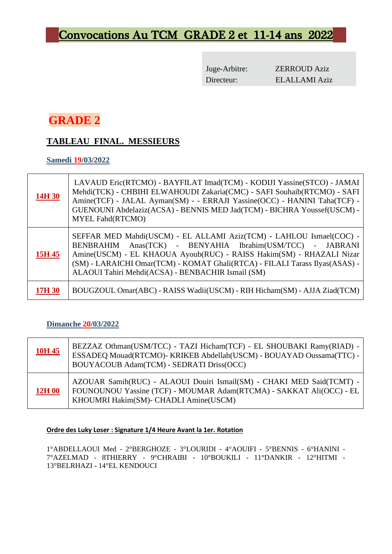# Convocations Au TCM GRADE 2 et 11-14 ans 2022

Juge-Arbitre: ZERROUD Aziz Directeur: ELALLAMI Aziz

## **GRADE 2**

## **TABLEAU FINAL. MESSIEURS**

#### **Samedi 19/03/2022**

| 14H 30 | LAVAUD Eric(RTCMO) - BAYFILAT Imad(TCM) - KODIJI Yassine(STCO) - JAMAI<br>Mehdi(TCK) - CHBIHI ELWAHOUDI Zakaria(CMC) - SAFI Souhaib(RTCMO) - SAFI<br>Amine(TCF) - JALAL Ayman(SM) - - ERRAJI Yassine(OCC) - HANINI Taha(TCF) -<br>GUENOUNI Abdelaziz(ACSA) - BENNIS MED Jad(TCM) - BICHRA Youssef(USCM) -<br><b>MYEL Fahd(RTCMO)</b>            |
|--------|-------------------------------------------------------------------------------------------------------------------------------------------------------------------------------------------------------------------------------------------------------------------------------------------------------------------------------------------------|
| 15H 45 | SEFFAR MED Mahdi(USCM) - EL ALLAMI Aziz(TCM) - LAHLOU Ismael(COC) -<br>Anas(TCK) - BENYAHIA Ibrahim(USM/TCC) - JABRANI<br>BENBRAHIM<br>Amine(USCM) - EL KHAOUA Ayoub(RUC) - RAISS Hakim(SM) - RHAZALI Nizar<br>(SM) - LARAICHI Omar(TCM) - KOMAT Ghali(RTCA) - FILALI Tarass Ilyas(ASAS) -<br>ALAOUI Tahiri Mehdi(ACSA) - BENBACHIR Ismail (SM) |
| 17H 30 | BOUGZOUL Omar(ABC) - RAISS Wadii(USCM) - RIH Hicham(SM) - AJJA Ziad(TCM)                                                                                                                                                                                                                                                                        |

#### **Dimanche 20/03/2022**

| 10H 45        | BEZZAZ Othman(USM/TCC) - TAZI Hicham(TCF) - EL SHOUBAKI Ramy(RIAD) -<br>ESSADEQ Mouad(RTCMO)- KRIKEB Abdellah(USCM) - BOUAYAD Oussama(TTC) -<br>BOUYACOUB Adam(TCM) - SEDRATI Driss(OCC) |
|---------------|------------------------------------------------------------------------------------------------------------------------------------------------------------------------------------------|
| <b>12H 00</b> | AZOUAR Samih(RUC) - ALAOUI Douiri Ismail(SM) - CHAKI MED Said(TCMT) -<br>FOUNOUNOU Yassine (TCF) - MOUMAR Adam(RTCMA) - SAKKAT Ali(OCC) - EL<br>KHOUMRI Hakim(SM)- CHADLI Amine(USCM)    |

#### **Ordre des Luky Loser : Signature 1/4 Heure Avant la 1er. Rotation**

1°ABDELLAOUI Med - 2°BERGHOZE - 3°LOURIDI - 4°AOUIFI - 5°BENNIS - 6°HANINI - 7°AZELMAD - 8THIERRY - 9°CHRAIBI - 10°BOUKILI - 11°DANKIR - 12°HITMI - 13°BELRHAZI - 14°EL KENDOUCI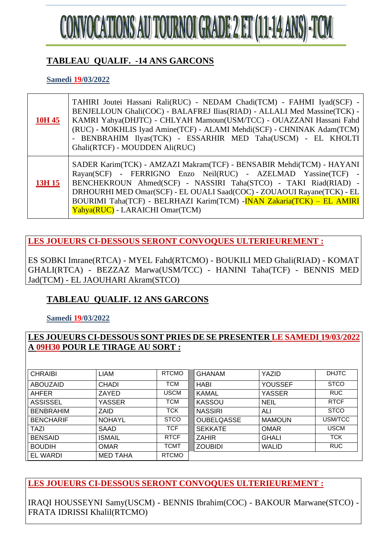

### **TABLEAU QUALIF. -14 ANS GARCONS**

**Samedi 19/03/2022**

| 10H 45 | TAHIRI Joutei Hassani Rali(RUC) - NEDAM Chadi(TCM) - FAHMI Iyad(SCF) -<br>BENJELLOUN Ghali(COC) - BALAFREJ Ilias(RIAD) - ALLALI Med Massine(TCK) -<br>KAMRI Yahya(DHJTC) - CHLYAH Mamoun(USM/TCC) - OUAZZANI Hassani Fahd<br>(RUC) - MOKHLIS Iyad Amine(TCF) - ALAMI Mehdi(SCF) - CHNINAK Adam(TCM)<br>- BENBRAHIM Ilyas(TCK) - ESSARHIR MED Taha(USCM) - EL KHOLTI<br>Ghali(RTCF) - MOUDDEN Ali(RUC) |
|--------|-------------------------------------------------------------------------------------------------------------------------------------------------------------------------------------------------------------------------------------------------------------------------------------------------------------------------------------------------------------------------------------------------------|
| 13H 15 | SADER Karim(TCK) - AMZAZI Makram(TCF) - BENSABIR Mehdi(TCM) - HAYANI<br>Rayan(SCF) - FERRIGNO Enzo Neil(RUC) - AZELMAD Yassine(TCF) -<br>BENCHEKROUN Ahmed(SCF) - NASSIRI Taha(STCO) - TAKI Riad(RIAD) -<br>DRHOURHI MED Omar(SCF) - EL OUALI Saad(COC) - ZOUAOUI Rayane(TCK) - EL<br>BOURIMI Taha(TCF) - BELRHAZI Karim(TCM) - INAN Zakaria(TCK) - EL AMIRI<br>Yahya(RUC) - LARAICHI Omar(TCM)       |

**LES JOUEURS CI-DESSOUS SERONT CONVOQUES ULTERIEUREMENT :**

ES SOBKI Imrane(RTCA) - MYEL Fahd(RTCMO) - BOUKILI MED Ghali(RIAD) - KOMAT GHALI(RTCA) - BEZZAZ Marwa(USM/TCC) - HANINI Taha(TCF) - BENNIS MED Jad(TCM) - EL JAOUHARI Akram(STCO)

## **TABLEAU QUALIF. 12 ANS GARCONS**

**Samedi 19/03/2022**

#### **LES JOUEURS CI-DESSOUS SONT PRIES DE SE PRESENTER LE SAMEDI 19/03/2022 A 09H30 POUR LE TIRAGE AU SORT :**

| <b>CHRAIBI</b>   | <b>LIAM</b>     | <b>RTCMO</b> | <b>GHANAM</b>     | YAZID          | <b>DHJTC</b> |
|------------------|-----------------|--------------|-------------------|----------------|--------------|
|                  |                 |              |                   |                |              |
| ABOUZAID         | <b>CHADI</b>    | <b>TCM</b>   | <b>HABI</b>       | <b>YOUSSEF</b> | <b>STCO</b>  |
| AHFER            | ZAYED           | <b>USCM</b>  | <b>KAMAL</b>      | <b>YASSER</b>  | <b>RUC</b>   |
| <b>ASSISSEL</b>  | YASSER          | <b>TCM</b>   | <b>KASSOU</b>     | <b>NEIL</b>    | <b>RTCF</b>  |
| <b>BENBRAHIM</b> | ZAID            | TCK          | <b>NASSIRI</b>    | ALI            | <b>STCO</b>  |
| <b>BENCHARIF</b> | <b>NOHAYL</b>   | <b>STCO</b>  | <b>OUBELQASSE</b> | <b>MAMOUN</b>  | USM/TCC      |
| TAZI             | <b>SAAD</b>     | <b>TCF</b>   | <b>SEKKATE</b>    | <b>OMAR</b>    | <b>USCM</b>  |
| <b>BENSAID</b>   | <b>ISMAIL</b>   | <b>RTCF</b>  | <b>ZAHIR</b>      | <b>GHALI</b>   | <b>TCK</b>   |
| <b>BOUDIH</b>    | <b>OMAR</b>     | <b>TCMT</b>  | <b>ZOUBIDI</b>    | <b>WALID</b>   | <b>RUC</b>   |
| EL WARDI         | <b>MED TAHA</b> | <b>RTCMO</b> |                   |                |              |

**LES JOUEURS CI-DESSOUS SERONT CONVOQUES ULTERIEUREMENT :**

IRAQI HOUSSEYNI Samy(USCM) - BENNIS Ibrahim(COC) - BAKOUR Marwane(STCO) - FRATA IDRISSI Khalil(RTCMO)